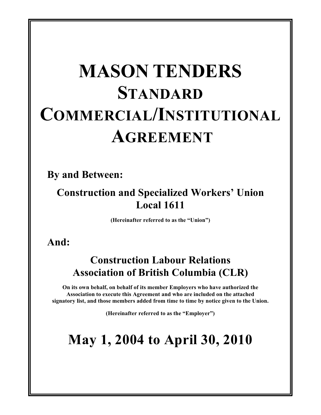# **MASON TENDERS STANDARD COMMERCIAL/INSTITUTIONAL AGREEMENT**

**By and Between:**

## **Construction and Specialized Workers' Union Local 1611**

**(Hereinafter referred to as the "Union")**

**And:**

## **Construction Labour Relations Association of British Columbia (CLR)**

**On its own behalf, on behalf of its member Employers who have authorized the Association to execute this Agreement and who are included on the attached signatory list, and those members added from time to time by notice given to the Union.**

**(Hereinafter referred to as the "Employer")**

## **May 1, 2004 to April 30, 2010**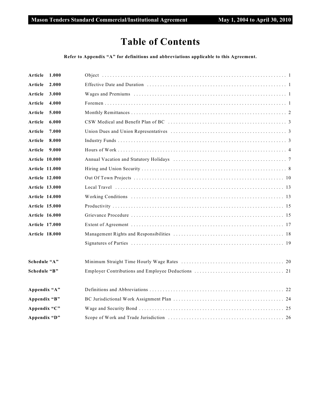### **Table of Contents**

#### **Refer to Appendix "A" for definitions and abbreviations applicable to this Agreement.**

| Article<br>1.000      |                                                                                                      |
|-----------------------|------------------------------------------------------------------------------------------------------|
| Article<br>2.000      |                                                                                                      |
| Article<br>3.000      |                                                                                                      |
| Article<br>4.000      |                                                                                                      |
| Article<br>5.000      |                                                                                                      |
| Article<br>6.000      |                                                                                                      |
| Article<br>7.000      |                                                                                                      |
| Article<br>8.000      |                                                                                                      |
| Article<br>9.000      |                                                                                                      |
| <b>Article 10.000</b> |                                                                                                      |
| <b>Article 11.000</b> |                                                                                                      |
| <b>Article 12.000</b> |                                                                                                      |
| <b>Article 13.000</b> | Local Travel $\dots\dots\dots\dots\dots\dots\dots\dots\dots\dots\dots\dots\dots\dots\dots\dots\dots$ |
| Article 14.000        |                                                                                                      |
| <b>Article 15.000</b> |                                                                                                      |
| <b>Article 16.000</b> |                                                                                                      |
| <b>Article 17.000</b> |                                                                                                      |
| <b>Article 18.000</b> |                                                                                                      |
|                       |                                                                                                      |
| Schedule "A"          |                                                                                                      |
| Schedule "B"          |                                                                                                      |
| Appendix "A"          |                                                                                                      |
| Appendix "B"          |                                                                                                      |
| Appendix "C"          |                                                                                                      |
| Appendix "D"          |                                                                                                      |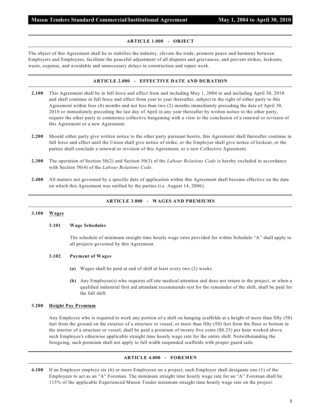#### **ARTICLE 1.000 - OBJECT**

The object of this Agreement shall be to stabilize the industry, elevate the trade, promote peace and harmony between Employers and Employees, facilitate the peaceful adjustment of all disputes and grievances, and prevent strikes, lockouts, waste, expense, and avoidable and unnecessary delays in construction and repair work.

#### **ARTICLE 2.000 - EFFECTIVE DATE AND DURATION**

- **2.100** This Agreement shall be in full force and effect from and including May 1, 2004 to and including April 30, 2010 and shall continue in full force and effect from year to year thereafter, subject to the right of either party to this Agreement within four (4) months and not less than two (2) months immediately preceding the date of April 30, 2010 or immediately preceding the last day of April in any year thereafter by written notice to the other party, require the other party to commence collective bargaining with a view to the conclusion of a renewal or revision of this Agreement or a new Agreement.
- **2.200** Should either party give written notice to the other party pursuant hereto, this Agreement shall thereafter continue in full force and effect until the Union shall give notice of strike, or the Employer shall give notice of lockout, or the parties shall conclude a renewal or revision of this Agreement, or a new Collective Agreement.
- **2.300** The operation of Section 50(2) and Section 50(3) of the *Labour Relations Code* is hereby excluded in accordance with Section 50(4) of the *Labour Relations Code*.
- **2.400** All matters not governed by a specific date of application within this Agreement shall become effective on the date on which this Agreement was ratified by the parties (i.e. August 14, 2006).

#### **ARTICLE 3.000 - WAGES AND PREMIUMS**

#### **3.100 Wages**

#### **3.101 Wage Schedules**

The schedule of minimum straight time hourly wage rates provided for within Schedule "A" shall apply to all projects governed by this Agreement.

#### **3.102 Payment of Wages**

- **(a)** Wages shall be paid at end of shift at least every two (2) weeks.
- **(b)** Any Employee(s) who requires off site medical attention and does not return to the project, or when a qualified industrial first aid attendant recommends rest for the remainder of the shift, shall be paid for the full shift.

#### **3.200 Height Pay Premium**

Any Employee who is required to work any portion of a shift on hanging scaffolds at a height of more than fifty (50) feet from the ground on the exterior of a structure or vessel, or more than fifty (50) feet from the floor or bottom in the interior of a structure or vessel, shall be paid a premium of twenty five cents (\$0.25) per hour worked above such Employee's otherwise applicable straight time hourly wage rate for the entire shift. Notwithstanding the foregoing, such premium shall not apply to full width suspended scaffolds with proper guard rails.

#### **ARTICLE 4.000 - FOREMEN**

**4.100** If an Employer employs six (6) or more Employees on a project, such Employer shall designate one (1) of the Employees to act as an "A" Foreman. The minimum straight time hourly wage rate for an "A" Foreman shall be 115% of the applicable Experienced Mason Tender minimum straight time hourly wage rate on the project.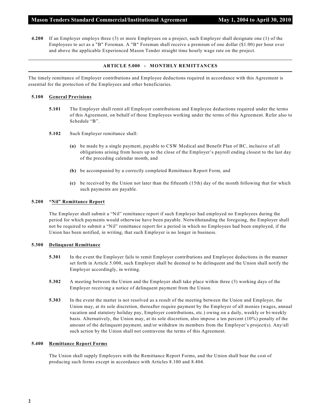**4.200** If an Employer employs three (3) or more Employees on a project, such Employer shall designate one (1) of the Employees to act as a "B" Foreman. A "B" Foreman shall receive a premium of one dollar (\$1.00) per hour over and above the applicable Experienced Mason Tender straight time hourly wage rate on the project.

#### **ARTICLE 5.000 - MONTHLY REMITTANCES**

The timely remittance of Employer contributions and Employee deductions required in accordance with this Agreement is essential for the protection of the Employees and other beneficiaries.

#### **5.100 General Provisions**

- **5.101** The Employer shall remit all Employer contributions and Employee deductions required under the terms of this Agreement, on behalf of those Employees working under the terms of this Agreement. Refer also to Schedule "B".
- **5.102** Such Employer remittance shall:
	- **(a)** be made by a single payment, payable to CSW Medical and Benefit Plan of BC, inclusive of all obligations arising from hours up to the close of the Employer's payroll ending closest to the last day of the preceding calendar month, and
	- **(b)** be accompanied by a correctly completed Remittance Report Form, and
	- **(c)** be received by the Union not later than the fifteenth (15th) day of the month following that for which such payments are payable.

#### **5.200 "Nil" Remittance Report**

The Employer shall submit a "Nil" remittance report if such Employer had employed no Employees during the period for which payments would otherwise have been payable. Notwithstanding the foregoing, the Employer shall not be required to submit a "Nil" remittance report for a period in which no Employees had been employed, if the Union has been notified, in writing, that such Employer is no longer in business.

#### **5.300 Delinquent Remittance**

- **5.301** In the event the Employer fails to remit Employer contributions and Employee deductions in the manner set forth in Article 5.000, such Employer shall be deemed to be delinquent and the Union shall notify the Employer accordingly, in writing.
- **5.302** A meeting between the Union and the Employer shall take place within three (3) working days of the Employer receiving a notice of delinquent payment from the Union.
- **5.303** In the event the matter is not resolved as a result of the meeting between the Union and Employer, the Union may, at its sole discretion, thereafter require payment by the Employer of all monies (wages, annual vacation and statutory holiday pay, Employer contributions, etc.) owing on a daily, weekly or bi-weekly basis. Alternatively, the Union may, at its sole discretion, also impose a ten percent (10%) penalty of the amount of the delinquent payment, and/or withdraw its members from the Employer's project(s). Any/all such action by the Union shall not contravene the terms of this Agreement.

#### **5.400 Remittance Report Forms**

The Union shall supply Employers with the Remittance Report Forms, and the Union shall bear the cost of producing such forms except in accordance with Articles 8.100 and 8.404.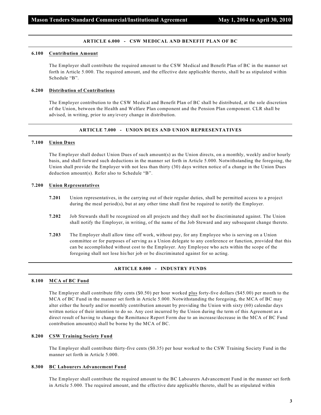#### **ARTICLE 6.000 - CSW MEDICAL AND BENEFIT PLAN OF BC**

#### **6.100 Contribution Amount**

The Employer shall contribute the required amount to the CSW Medical and Benefit Plan of BC in the manner set forth in Article 5.000. The required amount, and the effective date applicable thereto, shall be as stipulated within Schedule "B".

#### **6.200 Distribution of Contributions**

The Employer contribution to the CSW Medical and Benefit Plan of BC shall be distributed, at the sole discretion of the Union, between the Health and Welfare Plan component and the Pension Plan component. CLR shall be advised, in writing, prior to any/every change in distribution.

#### **ARTICLE 7.000 - UNION DUES AND UNION REPRESENTATIVES**

#### **7.100 Union Dues**

The Employer shall deduct Union Dues of such amount(s) as the Union directs, on a monthly, weekly and/or hourly basis, and shall forward such deductions in the manner set forth in Article 5.000. Notwithstanding the foregoing, the Union shall provide the Employer with not less than thirty (30) days written notice of a change in the Union Dues deduction amount(s). Refer also to Schedule "B".

#### **7.200 Union Representatives**

- **7.201** Union representatives, in the carrying out of their regular duties, shall be permitted access to a project during the meal period(s), but at any other time shall first be required to notify the Employer.
- **7.202** Job Stewards shall be recognized on all projects and they shall not be discriminated against. The Union shall notify the Employer, in writing, of the name of the Job Steward and any subsequent change thereto.
- **7.203** The Employer shall allow time off work, without pay, for any Employee who is serving on a Union committee or for purposes of serving as a Union delegate to any conference or function, provided that this can be accomplished without cost to the Employer. Any Employee who acts within the scope of the foregoing shall not lose his/her job or be discriminated against for so acting.

#### **ARTICLE 8.000 - INDUSTRY FUNDS**

#### **8.100 MCA of BC Fund**

The Employer shall contribute fifty cents (\$0.50) per hour worked plus forty-five dollars (\$45.00) per month to the MCA of BC Fund in the manner set forth in Article 5.000. Notwithstanding the foregoing, the MCA of BC may alter either the hourly and/or monthly contribution amount by providing the Union with sixty (60) calendar days written notice of their intention to do so. Any cost incurred by the Union during the term of this Agreement as a direct result of having to change the Remittance Report Form due to an increase/decrease in the MCA of BC Fund contribution amount(s) shall be borne by the MCA of BC.

#### **8.200 CSW Training Society Fund**

The Employer shall contribute thirty-five cents (\$0.35) per hour worked to the CSW Training Society Fund in the manner set forth in Article 5.000.

#### **8.300 BC Labourers Advancement Fund**

The Employer shall contribute the required amount to the BC Labourers Advancement Fund in the manner set forth in Article 5.000. The required amount, and the effective date applicable thereto, shall be as stipulated within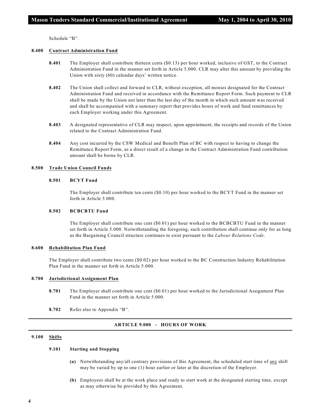Schedule "B".

#### **8.400 Contract Administration Fund**

- **8.401** The Employer shall contribute thirteen cents (\$0.13) per hour worked, inclusive of GST, to the Contract Administration Fund in the manner set forth in Article 5.000. CLR may alter this amount by providing the Union with sixty (60) calendar days' written notice.
- **8.402** The Union shall collect and forward to CLR, without exception, all monies designated for the Contract Administration Fund and received in accordance with the Remittance Report Form. Such payment to CLR shall be made by the Union not later than the last day of the month in which such amount was received and shall be accompanied with a summary report that provides hours of work and fund remittances by each Employer working under this Agreement.
- **8.403** A designated representative of CLR may inspect, upon appointment, the receipts and records of the Union related to the Contract Administration Fund.
- **8.404** Any cost incurred by the CSW Medical and Benefit Plan of BC with respect to having to change the Remittance Report Form, as a direct result of a change in the Contract Administration Fund contribution amount shall be borne by CLR.

#### **8.500 Trade Union Council Funds**

#### **8.501 BCYT Fund**

The Employer shall contribute ten cents (\$0.10) per hour worked to the BCYT Fund in the manner set forth in Article 5.000.

#### **8.502 BCBCBTU Fund**

The Employer shall contribute one cent (\$0.01) per hour worked to the BCBCBTU Fund in the manner set forth in Article 5.000. Notwithstanding the foregoing, such contribution shall continue only for as long as the Bargaining Council structure continues to exist pursuant to the *Labour Relations Code*.

#### **8.600 Rehabilitation Plan Fund**

The Employer shall contribute two cents (\$0.02) per hour worked to the BC Construction Industry Rehabilitation Plan Fund in the manner set forth in Article 5.000.

#### **8.700 Jurisdictional Assignment Plan**

- **8.701** The Employer shall contribute one cent (\$0.01) per hour worked to the Jurisdictional Assignment Plan Fund in the manner set forth in Article 5.000.
- **8.702** Refer also to Appendix "B".

#### **ARTICLE 9.000 - HOURS OF WORK**

#### **9.100 Shifts**

#### **9.101 Starting and Stopping**

- **(a)** Notwithstanding any/all contrary provisions of this Agreement, the scheduled start time of any shift may be varied by up to one (1) hour earlier or later at the discretion of the Employer.
- **(b)** Employees shall be at the work place and ready to start work at the designated starting time, except as may otherwise be provided by this Agreement.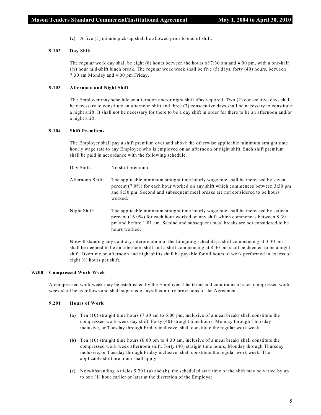**(c)** A five (5) minute pick-up shall be allowed prior to end of shift.

#### **9.102 Day Shift**

The regular work day shall be eight (8) hours between the hours of 7:30 am and 4:00 pm, with a one-half  $(\frac{1}{2})$  hour mid-shift lunch break. The regular work week shall be five (5) days, forty (40) hours, between 7:30 am Monday and 4:00 pm Friday.

#### **9.103 Afternoon and Night Shift**

The Employer may schedule an afternoon and/or night shift if/as required. Two (2) consecutive days shall be necessary to constitute an afternoon shift and three (3) consecutive days shall be necessary to constitute a night shift. It shall not be necessary for there to be a day shift in order for there to be an afternoon and/or a night shift.

#### **9.104 Shift Premiums**

The Employer shall pay a shift premium over and above the otherwise applicable minimum straight time hourly wage rate to any Employee who is employed on an afternoon or night shift. Such shift premium shall be paid in accordance with the following schedule.

- Day Shift: No shift premium.
- Afternoon Shift: The applicable minimum straight time hourly wage rate shall be increased by seven percent (7.0%) for each hour worked on any shift which commences between 3:30 pm and 8:30 pm. Second and subsequent meal breaks are not considered to be hours worked.
- Night Shift: The applicable minimum straight time hourly wage rate shall be increased by sixteen percent (16.0%) for each hour worked on any shift which commences between 8:30 pm and before 1:01 am. Second and subsequent meal breaks are not considered to be hours worked.

Notwithstanding any contrary interpretation of the foregoing schedule, a shift commencing at 3:30 pm shall be deemed to be an afternoon shift and a shift commencing at 8:30 pm shall be deemed to be a night shift. Overtime on afternoon and night shifts shall be payable for all hours of work performed in excess of eight (8) hours per shift.

#### **9.200 Compressed Work Week**

A compressed work week may be established by the Employer. The terms and conditions of such compressed work week shall be as follows and shall supercede any/all contrary provisions of the Agreement.

#### **9.201 Hours of Work**

- **(a)** Ten (10) straight time hours (7:30 am to 6:00 pm, inclusive of a meal break) shall constitute the compressed work week day shift. Forty (40) straight time hours, Monday through Thursday inclusive, or Tuesday through Friday inclusive, shall constitute the regular work week.
- **(b)** Ten (10) straight time hours (6:00 pm to 4:30 am, inclusive of a meal break) shall constitute the compressed work week afternoon shift. Forty (40) straight time hours, Monday through Thursday inclusive, or Tuesday through Friday inclusive, shall constitute the regular work week. The applicable shift premium shall apply.
- **(c)** Notwithstanding Articles 9.201 (a) and (b), the scheduled start time of the shift may be varied by up to one (1) hour earlier or later at the discretion of the Employer.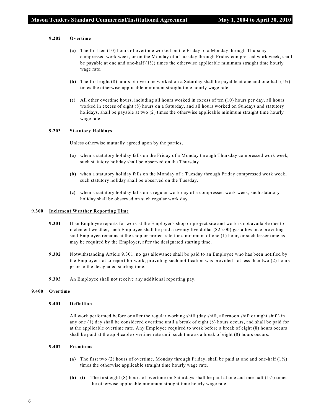#### **9.202 Overtime**

- **(a)** The first ten (10) hours of overtime worked on the Friday of a Monday through Thursday compressed work week, or on the Monday of a Tuesday through Friday compressed work week, shall be payable at one and one-half  $(1/2)$  times the otherwise applicable minimum straight time hourly wage rate.
- **(b)** The first eight (8) hours of overtime worked on a Saturday shall be payable at one and one-half (1½) times the otherwise applicable minimum straight time hourly wage rate.
- **(c)** All other overtime hours, including all hours worked in excess of ten (10) hours per day, all hours worked in excess of eight (8) hours on a Saturday, and all hours worked on Sundays and statutory holidays, shall be payable at two (2) times the otherwise applicable minimum straight time hourly wage rate.

#### **9.203 Statutory Holidays**

Unless otherwise mutually agreed upon by the parties,

- **(a)** when a statutory holiday falls on the Friday of a Monday through Thursday compressed work week, such statutory holiday shall be observed on the Thursday.
- **(b)** when a statutory holiday falls on the Monday of a Tuesday through Friday compressed work week, such statutory holiday shall be observed on the Tuesday.
- **(c)** when a statutory holiday falls on a regular work day of a compressed work week, such statutory holiday shall be observed on such regular work day.

#### **9.300 Inclement Weather Reporting Time**

- **9.301** If an Employee reports for work at the Employer's shop or project site and work is not available due to inclement weather, such Employee shall be paid a twenty five dollar (\$25.00) gas allowance providing said Employee remains at the shop or project site for a minimum of one (1) hour, or such lesser time as may be required by the Employer, after the designated starting time.
- **9.302** Notwithstanding Article 9.301, no gas allowance shall be paid to an Employee who has been notified by the Employer not to report for work, providing such notification was provided not less than two (2) hours prior to the designated starting time.
- **9.303** An Employee shall not receive any additional reporting pay.

#### **9.400 Overtime**

#### **9.401 Definition**

All work performed before or after the regular working shift (day shift, afternoon shift or night shift) in any one (1) day shall be considered overtime until a break of eight (8) hours occurs, and shall be paid for at the applicable overtime rate. Any Employee required to work before a break of eight (8) hours occurs shall be paid at the applicable overtime rate until such time as a break of eight (8) hours occurs.

#### **9.402 Premiums**

- **(a)** The first two (2) hours of overtime, Monday through Friday, shall be paid at one and one-half (1½) times the otherwise applicable straight time hourly wage rate.
- **(b) (i)** The first eight (8) hours of overtime on Saturdays shall be paid at one and one-half (1½) times the otherwise applicable minimum straight time hourly wage rate.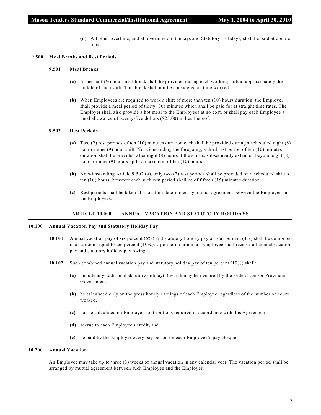**(ii)** All other overtime, and all overtime on Sundays and Statutory Holidays, shall be paid at double time.

#### **9.500 Meal Breaks and Rest Periods**

#### **9.501 Meal Breaks**

- **(a)** A one-half (½) hour meal break shall be provided during each working shift at approximately the middle of such shift. This break shall not be considered as time worked.
- **(b)** When Employees are required to work a shift of more than ten (10) hours duration, the Employer shall provide a meal period of thirty (30) minutes which shall be paid for at straight time rates. The Employer shall also provide a hot meal to the Employees at no cost, or shall pay each Employee a meal allowance of twenty-five dollars (\$25.00) in lieu thereof.

#### **9.502 Rest Periods**

- **(a)** Two (2) rest periods of ten (10) minutes duration each shall be provided during a scheduled eight (8) hour or nine (9) hour shift. Notwithstanding the foregoing, a third rest period of ten (10) minutes duration shall be provided after eight (8) hours if the shift is subsequently extended beyond eight (8) hours or nine (9) hours up to a maximum of ten (10) hours.
- **(b)** Notwithstanding Article 9.502 (a), only two (2) rest periods shall be provided on a scheduled shift of ten (10) hours, however each such rest period shall be of fifteen (15) minutes duration.
- **(c)** Rest periods shall be taken at a location determined by mutual agreement between the Employer and the Employees.

#### **ARTICLE 10.000 - ANNUAL VACATION AND STATUTORY HOLIDAYS**

#### **10.100 Annual Vacation Pay and Statutory Holiday Pay**

- **10.101** Annual vacation pay of six percent (6%) and statutory holiday pay of four percent (4%) shall be combined in an amount equal to ten percent (10%). Upon termination, an Employee shall receive all annual vacation pay and statutory holiday pay owing.
- **10.102** Such combined annual vacation pay and statutory holiday pay of ten percent (10%) shall:
	- **(a)** include any additional statutory holiday(s) which may be declared by the Federal and/or Provincial Government,
	- **(b)** be calculated only on the gross hourly earnings of each Employee regardless of the number of hours worked,
	- **(c)** not be calculated on Employer contributions required in accordance with this Agreement.
	- **(d)** accrue to each Employee's credit, and
	- **(e)** be paid by the Employer every pay period on each Employee's pay cheque.

#### **10.200 Annual Vacation**

An Employee may take up to three (3) weeks of annual vacation in any calendar year. The vacation period shall be arranged by mutual agreement between such Employee and the Employer.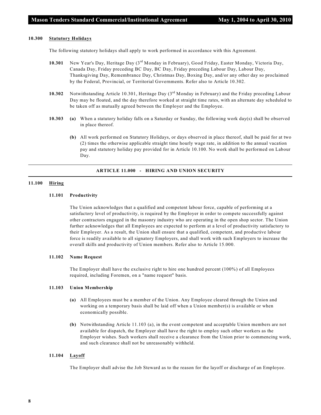#### **10.300 Statutory Holidays**

The following statutory holidays shall apply to work performed in accordance with this Agreement.

- 10.301 New Year's Day, Heritage Day (3<sup>rd</sup> Monday in February), Good Friday, Easter Monday, Victoria Day, Canada Day, Friday preceding BC Day, BC Day, Friday preceding Labour Day, Labour Day, Thanksgiving Day, Remembrance Day, Christmas Day, Boxing Day, and/or any other day so proclaimed by the Federal, Provincial, or Territorial Governments. Refer also to Article 10.302.
- **10.302** Notwithstanding Article 10.301, Heritage Day (3<sup>rd</sup> Monday in February) and the Friday preceding Labour Day may be floated, and the day therefore worked at straight time rates, with an alternate day scheduled to be taken off as mutually agreed between the Employer and the Employee.
- **10.303 (a)** When a statutory holiday falls on a Saturday or Sunday, the following work day(s) shall be observed in place thereof.
	- **(b)** All work performed on Statutory Holidays, or days observed in place thereof, shall be paid for at two (2) times the otherwise applicable straight time hourly wage rate, in addition to the annual vacation pay and statutory holiday pay provided for in Article 10.100. No work shall be performed on Labour Day.

#### **ARTICLE 11.000 - HIRING AND UNION SECURITY**

#### **11.100 Hiring**

#### **11.101 Productivity**

The Union acknowledges that a qualified and competent labour force, capable of performing at a satisfactory level of productivity, is required by the Employer in order to compete successfully against other contractors engaged in the masonry industry who are operating in the open shop sector. The Union further acknowledges that all Employees are expected to perform at a level of productivity satisfactory to their Employer. As a result, the Union shall ensure that a qualified, competent, and productive labour force is readily available to all signatory Employers, and shall work with such Employers to increase the overall skills and productivity of Union members. Refer also to Article 15.000.

#### **11.102 Name Request**

The Employer shall have the exclusive right to hire one hundred percent (100%) of all Employees required, including Foremen, on a "name request" basis.

#### **11.103 Union Membership**

- **(a)** All Employees must be a member of the Union. Any Employee cleared through the Union and working on a temporary basis shall be laid off when a Union member(s) is available or when economically possible.
- **(b)** Notwithstanding Article 11.103 (a), in the event competent and acceptable Union members are not available for dispatch, the Employer shall have the right to employ such other workers as the Employer wishes. Such workers shall receive a clearance from the Union prior to commencing work, and such clearance shall not be unreasonably withheld.

#### **11.104 Layoff**

The Employer shall advise the Job Steward as to the reason for the layoff or discharge of an Employee.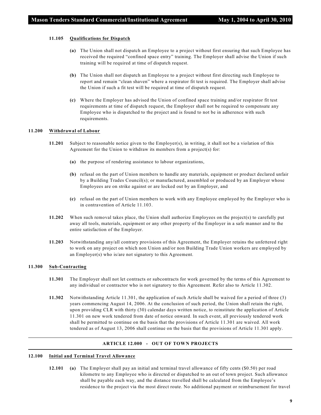#### **11.105 Qualifications for Dispatch**

- **(a)** The Union shall not dispatch an Employee to a project without first ensuring that such Employee has received the required "confined space entry" training. The Employer shall advise the Union if such training will be required at time of dispatch request.
- **(b)** The Union shall not dispatch an Employee to a project without first directing such Employee to report and remain "clean shaven" where a respirator fit test is required. The Employer shall advise the Union if such a fit test will be required at time of dispatch request.
- **(c)** Where the Employer has advised the Union of confined space training and/or respirator fit test requirements at time of dispatch request, the Employer shall not be required to compensate any Employee who is dispatched to the project and is found to not be in adherence with such requirements.

#### **11.200 Withdrawal of Labour**

- **11.201** Subject to reasonable notice given to the Employer(s), in writing, it shall not be a violation of this Agreement for the Union to withdraw its members from a project(s) for:
	- **(a)** the purpose of rendering assistance to labour organizations,
	- **(b)** refusal on the part of Union members to handle any materials, equipment or product declared unfair by a Building Trades Council(s); or manufactured, assembled or produced by an Employer whose Employees are on strike against or are locked out by an Employer, and
	- **(c)** refusal on the part of Union members to work with any Employee employed by the Employer who is in contravention of Article 11.103.
- **11.202** When such removal takes place, the Union shall authorize Employees on the project(s) to carefully put away all tools, materials, equipment or any other property of the Employer in a safe manner and to the entire satisfaction of the Employer.
- **11.203** Notwithstanding any/all contrary provisions of this Agreement, the Employer retains the unfettered right to work on any project on which non Union and/or non Building Trade Union workers are employed by an Employer(s) who is/are not signatory to this Agreement.

#### **11.300 Sub-Contracting**

- **11.301** The Employer shall not let contracts or subcontracts for work governed by the terms of this Agreement to any individual or contractor who is not signatory to this Agreement. Refer also to Article 11.302.
- **11.302** Notwithstanding Article 11.301, the application of such Article shall be waived for a period of three (3) years commencing August 14, 2006. At the conclusion of such period, the Union shall retain the right, upon providing CLR with thirty (30) calendar days written notice, to reinstitute the application of Article 11.301 on new work tendered from date of notice onward. In such event, all previously tendered work shall be permitted to continue on the basis that the provisions of Article 11.301 are waived. All work tendered as of August 13, 2006 shall continue on the basis that the provisions of Article 11.301 apply.

#### **ARTICLE 12.000 - OUT OF TOWN PROJECTS**

#### **12.100 Initial and Terminal Travel Allowance**

**12.101 (a)** The Employer shall pay an initial and terminal travel allowance of fifty cents (\$0.50) per road kilometre to any Employee who is directed or dispatched to an out of town project. Such allowance shall be payable each way, and the distance travelled shall be calculated from the Employee's residence to the project via the most direct route. No additional payment or reimbursement for travel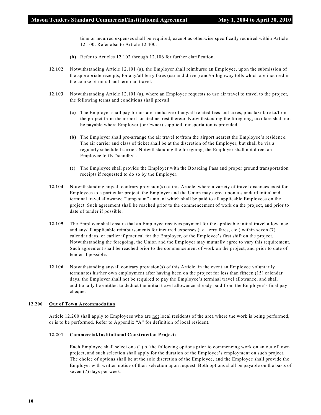time or incurred expenses shall be required, except as otherwise specifically required within Article 12.100. Refer also to Article 12.400.

- **(b)** Refer to Articles 12.102 through 12.106 for further clarification.
- **12.102** Notwithstanding Article 12.101 (a), the Employer shall reimburse an Employee, upon the submission of the appropriate receipts, for any/all ferry fares (car and driver) and/or highway tolls which are incurred in the course of initial and terminal travel.
- **12.103** Notwithstanding Article 12.101 (a), where an Employee requests to use air travel to travel to the project, the following terms and conditions shall prevail.
	- **(a)** The Employer shall pay for airfare, inclusive of any/all related fees and taxes, plus taxi fare to/from the project from the airport located nearest thereto. Notwithstanding the foregoing, taxi fare shall not be payable where Employer (or Owner) supplied transportation is provided.
	- **(b)** The Employer shall pre-arrange the air travel to/from the airport nearest the Employee's residence. The air carrier and class of ticket shall be at the discretion of the Employer, but shall be via a regularly scheduled carrier. Notwithstanding the foregoing, the Employer shall not direct an Employee to fly "standby".
	- **(c)** The Employee shall provide the Employer with the Boarding Pass and proper ground transportation receipts if requested to do so by the Employer.
- **12.104** Notwithstanding any/all contrary provision(s) of this Article, where a variety of travel distances exist for Employees to a particular project, the Employer and the Union may agree upon a standard initial and terminal travel allowance "lump sum" amount which shall be paid to all applicable Employees on the project. Such agreement shall be reached prior to the commencement of work on the project, and prior to date of tender if possible.
- **12.105** The Employer shall ensure that an Employee receives payment for the applicable initial travel allowance and any/all applicable reimbursements for incurred expenses (i.e. ferry fares, etc.) within seven (7) calendar days, or earlier if practical for the Employer, of the Employee's first shift on the project. Notwithstanding the foregoing, the Union and the Employer may mutually agree to vary this requirement. Such agreement shall be reached prior to the commencement of work on the project, and prior to date of tender if possible.
- **12.106** Notwithstanding any/all contrary provision(s) of this Article, in the event an Employee voluntarily terminates his/her own employment after having been on the project for less than fifteen (15) calendar days, the Employer shall not be required to pay the Employee's terminal travel allowance, and shall additionally be entitled to deduct the initial travel allowance already paid from the Employee's final pay cheque.

#### **12.200 Out of Town Accommodation**

Article 12.200 shall apply to Employees who are not local residents of the area where the work is being performed, or is to be performed. Refer to Appendix "A" for definition of local resident.

#### **12.201 Commercial/Institutional Construction Projects**

Each Employee shall select one (1) of the following options prior to commencing work on an out of town project, and such selection shall apply for the duration of the Employee's employment on such project. The choice of options shall be at the sole discretion of the Employee, and the Employee shall provide the Employer with written notice of their selection upon request. Both options shall be payable on the basis of seven (7) days per week.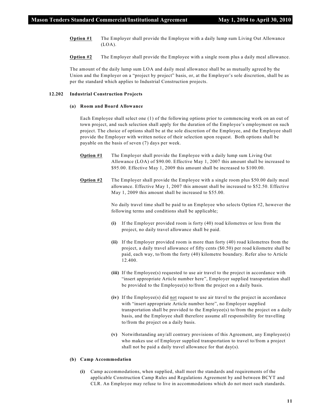- **Option #1** The Employer shall provide the Employee with a daily lump sum Living Out Allowance (LOA).
- **Option #2** The Employer shall provide the Employee with a single room plus a daily meal allowance.

The amount of the daily lump sum LOA and daily meal allowance shall be as mutually agreed by the Union and the Employer on a "project by project" basis, or, at the Employer's sole discretion, shall be as per the standard which applies to Industrial Construction projects.

#### **12.202 Industrial Construction Projects**

#### **(a) Room and Board Allowance**

Each Employee shall select one (1) of the following options prior to commencing work on an out of town project, and such selection shall apply for the duration of the Employee's employment on such project. The choice of options shall be at the sole discretion of the Employee, and the Employee shall provide the Employer with written notice of their selection upon request. Both options shall be payable on the basis of seven (7) days per week.

- **Option #1** The Employer shall provide the Employee with a daily lump sum Living Out Allowance (LOA) of \$90.00. Effective May 1, 2007 this amount shall be increased to \$95.00. Effective May 1, 2009 this amount shall be increased to \$100.00.
- **Option #2** The Employer shall provide the Employee with a single room plus \$50.00 daily meal allowance. Effective May 1, 2007 this amount shall be increased to \$52.50. Effective May 1, 2009 this amount shall be increased to \$55.00.

No daily travel time shall be paid to an Employee who selects Option #2, however the following terms and conditions shall be applicable;

- **(i)** If the Employer provided room is forty (40) road kilometres or less from the project, no daily travel allowance shall be paid.
- **(ii)** If the Employer provided room is more than forty (40) road kilometres from the project, a daily travel allowance of fifty cents (\$0.50) per road kilometre shall be paid, each way, to/from the forty (40) kilometre boundary. Refer also to Article 12.400.
- **(iii)** If the Employee(s) requested to use air travel to the project in accordance with "insert appropriate Article number here", Employer supplied transportation shall be provided to the Employee(s) to/from the project on a daily basis.
- **(iv)** If the Employee(s) did not request to use air travel to the project in accordance with "insert appropriate Article number here", no Employer supplied transportation shall be provided to the Employee(s) to/from the project on a daily basis, and the Employee shall therefore assume all responsibility for travelling to/from the project on a daily basis.
- **(v)** Notwithstanding any/all contrary provisions of this Agreement, any Employee(s) who makes use of Employer supplied transportation to travel to/from a project shall not be paid a daily travel allowance for that  $day(s)$ .

#### **(b) Camp Accommodation**

**(i)** Camp accommodations, when supplied, shall meet the standards and requirements of the applicable Construction Camp Rules and Regulations Agreement by and between BCYT and CLR. An Employee may refuse to live in accommodations which do not meet such standards.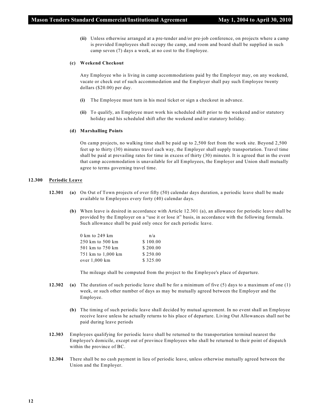**(ii)** Unless otherwise arranged at a pre-tender and/or pre-job conference, on projects where a camp is provided Employees shall occupy the camp, and room and board shall be supplied in such camp seven (7) days a week, at no cost to the Employee.

#### **(c) Weekend Checkout**

Any Employee who is living in camp accommodations paid by the Employer may, on any weekend, vacate or check out of such accommodation and the Employer shall pay such Employee twenty dollars (\$20.00) per day.

- **(i)** The Employee must turn in his meal ticket or sign a checkout in advance.
- **(ii)** To qualify, an Employee must work his scheduled shift prior to the weekend and/or statutory holiday and his scheduled shift after the weekend and/or statutory holiday.

#### **(d) Marshalling Points**

On camp projects, no walking time shall be paid up to 2,500 feet from the work site. Beyond 2,500 feet up to thirty (30) minutes travel each way, the Employer shall supply transportation. Travel time shall be paid at prevailing rates for time in excess of thirty (30) minutes. It is agreed that in the event that camp accommodation is unavailable for all Employees, the Employer and Union shall mutually agree to terms governing travel time.

#### **12.300 Periodic Leave**

- **12.301 (a)** On Out of Town projects of over fifty (50) calendar days duration, a periodic leave shall be made available to Employees every forty (40) calendar days.
	- **(b)** When leave is desired in accordance with Article 12.301 (a), an allowance for periodic leave shall be provided by the Employer on a "use it or lose it" basis, in accordance with the following formula. Such allowance shall be paid only once for each periodic leave.

| n/a      |
|----------|
| \$100.00 |
| \$200.00 |
| \$250.00 |
| \$325.00 |
|          |

The mileage shall be computed from the project to the Employee's place of departure.

- **12.302 (a)** The duration of such periodic leave shall be for a minimum of five (5) days to a maximum of one (1) week, or such other number of days as may be mutually agreed between the Employer and the Employee.
	- **(b)** The timing of such periodic leave shall decided by mutual agreement. In no event shall an Employee receive leave unless he actually returns to his place of departure. Living Out Allowances shall not be paid during leave periods
- **12.303** Employees qualifying for periodic leave shall be returned to the transportation terminal nearest the Employee's domicile, except out of province Employees who shall be returned to their point of dispatch within the province of BC.
- **12.304** There shall be no cash payment in lieu of periodic leave, unless otherwise mutually agreed between the Union and the Employer.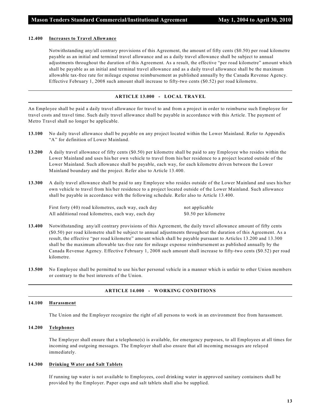#### **12.400 Increases to Travel Allowance**

Notwithstanding any/all contrary provisions of this Agreement, the amount of fifty cents (\$0.50) per road kilometre payable as an initial and terminal travel allowance and as a daily travel allowance shall be subject to annual adjustments throughout the duration of this Agreement. As a result, the effective "per road kilometre" amount which shall be payable as an initial and terminal travel allowance and as a daily travel allowance shall be the maximum allowable tax-free rate for mileage expense reimbursement as published annually by the Canada Revenue Agency. Effective February 1, 2008 such amount shall increase to fifty-two cents (\$0.52) per road kilometre.

#### **ARTICLE 13.000 - LOCAL TRAVEL**

An Employee shall be paid a daily travel allowance for travel to and from a project in order to reimburse such Employee for travel costs and travel time. Such daily travel allowance shall be payable in accordance with this Article. The payment of Metro Travel shall no longer be applicable.

- **13.100** No daily travel allowance shall be payable on any project located within the Lower Mainland. Refer to Appendix "A" for definition of Lower Mainland.
- **13.200** A daily travel allowance of fifty cents (\$0.50) per kilometre shall be paid to any Employee who resides within the Lower Mainland and uses his/her own vehicle to travel from his/her residence to a project located outside of the Lower Mainland. Such allowance shall be payable, each way, for each kilometre driven between the Lower Mainland boundary and the project. Refer also to Article 13.400.
- **13.300** A daily travel allowance shall be paid to any Employee who resides outside of the Lower Mainland and uses his/her own vehicle to travel from his/her residence to a project located outside of the Lower Mainland. Such allowance shall be payable in accordance with the following schedule. Refer also to Article 13.400.

First forty (40) road kilometres, each way, each day not applicable All additional road kilometres, each way, each day \$0.50 per kilometre

- **13.400** Notwithstanding any/all contrary provisions of this Agreement, the daily travel allowance amount of fifty cents (\$0.50) per road kilometre shall be subject to annual adjustments throughout the duration of this Agreement. As a result, the effective "per road kilometre" amount which shall be payable pursuant to Articles 13.200 and 13.300 shall be the maximum allowable tax-free rate for mileage expense reimbursement as published annually by the Canada Revenue Agency. Effective February 1, 2008 such amount shall increase to fifty-two cents (\$0.52) per road kilometre.
- **13.500** No Employee shall be permitted to use his/her personal vehicle in a manner which is unfair to other Union members or contrary to the best interests of the Union.

#### **ARTICLE 14.000 - WORKING CONDITIONS**

#### **14.100 Harassment**

The Union and the Employer recognize the right of all persons to work in an environment free from harassment.

#### **14.200 Telephones**

The Employer shall ensure that a telephone(s) is available, for emergency purposes, to all Employees at all times for incoming and outgoing messages. The Employer shall also ensure that all incoming messages are relayed immediately.

#### **14.300 Drinking Water and Salt Tablets**

If running tap water is not available to Employees, cool drinking water in approved sanitary containers shall be provided by the Employer. Paper cups and salt tablets shall also be supplied.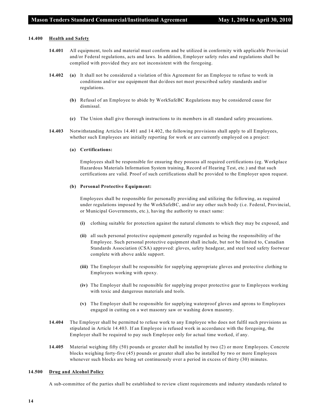#### **14.400 Health and Safety**

- **14.401** All equipment, tools and material must conform and be utilized in conformity with applicable Provincial and/or Federal regulations, acts and laws. In addition, Employer safety rules and regulations shall be complied with provided they are not inconsistent with the foregoing.
- **14.402 (a)** It shall not be considered a violation of this Agreement for an Employee to refuse to work in conditions and/or use equipment that do/does not meet prescribed safety standards and/or regulations.
	- **(b)** Refusal of an Employee to abide by WorkSafeBC Regulations may be considered cause for dismissal.
	- **(c)** The Union shall give thorough instructions to its members in all standard safety precautions.
- **14.403** Notwithstanding Articles 14.401 and 14.402, the following provisions shall apply to all Employees, whether such Employees are initially reporting for work or are currently employed on a project:

#### **(a) Certifications:**

Employees shall be responsible for ensuring they possess all required certifications (eg. Workplace Hazardous Materials Information System training, Record of Hearing Test, etc.) and that such certifications are valid. Proof of such certifications shall be provided to the Employer upon request.

#### **(b) Personal Protective Equipment:**

Employees shall be responsible for personally providing and utilizing the following, as required under regulations imposed by the WorkSafeBC, and/or any other such body (i.e. Federal, Provincial, or Municipal Governments, etc.), having the authority to enact same:

- **(i)** clothing suitable for protection against the natural elements to which they may be exposed, and
- **(ii)** all such personal protective equipment generally regarded as being the responsibility of the Employee. Such personal protective equipment shall include, but not be limited to, Canadian Standards Association (CSA) approved: gloves, safety headgear, and steel toed safety footwear complete with above ankle support.
- **(iii)** The Employer shall be responsible for supplying appropriate gloves and protective clothing to Employees working with epoxy.
- **(iv)** The Employer shall be responsible for supplying proper protective gear to Employees working with toxic and dangerous materials and tools.
- **(v)** The Employer shall be responsible for supplying waterproof gloves and aprons to Employees engaged in cutting on a wet masonry saw or washing down masonry.
- **14.404** The Employer shall be permitted to refuse work to any Employee who does not fulfil such provisions as stipulated in Article 14.403. If an Employee is refused work in accordance with the foregoing, the Employer shall be required to pay such Employee only for actual time worked, if any.
- **14.405** Material weighing fifty (50) pounds or greater shall be installed by two (2) or more Employees. Concrete blocks weighing forty-five (45) pounds or greater shall also be installed by two or more Employees whenever such blocks are being set continuously over a period in excess of thirty (30) minutes.

#### **14.500 Drug and Alcohol Policy**

A sub-committee of the parties shall be established to review client requirements and industry standards related to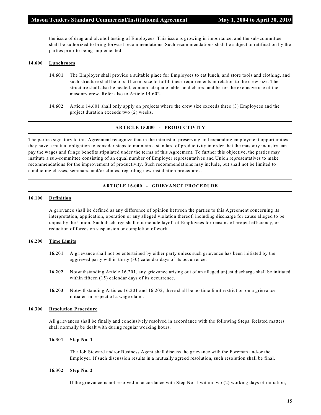the issue of drug and alcohol testing of Employees. This issue is growing in importance, and the sub-committee shall be authorized to bring forward recommendations. Such recommendations shall be subject to ratification by the parties prior to being implemented.

#### **14.600 Lunchroom**

- **14.601** The Employer shall provide a suitable place for Employees to eat lunch, and store tools and clothing, and such structure shall be of sufficient size to fulfill these requirements in relation to the crew size. The structure shall also be heated, contain adequate tables and chairs, and be for the exclusive use of the masonry crew. Refer also to Article 14.602.
- **14.602** Article 14.601 shall only apply on projects where the crew size exceeds three (3) Employees and the project duration exceeds two (2) weeks.

#### **ARTICLE 15.000 - PRODUCTIVITY**

The parties signatory to this Agreement recognize that in the interest of preserving and expanding employment opportunities they have a mutual obligation to consider steps to maintain a standard of productivity in order that the masonry industry can pay the wages and fringe benefits stipulated under the terms of this Agreement. To further this objective, the parties may institute a sub-committee consisting of an equal number of Employer representatives and Union representatives to make recommendations for the improvement of productivity. Such recommendations may include, but shall not be limited to conducting classes, seminars, and/or clinics, regarding new installation procedures.

#### **ARTICLE 16.000 - GRIEVANCE PROCEDURE**

#### **16.100 Definition**

A grievance shall be defined as any difference of opinion between the parties to this Agreement concerning its interpretation, application, operation or any alleged violation thereof, including discharge for cause alleged to be unjust by the Union. Such discharge shall not include layoff of Employees for reasons of project efficiency, or reduction of forces on suspension or completion of work.

#### **16.200 Time Limits**

- **16.201** A grievance shall not be entertained by either party unless such grievance has been initiated by the aggrieved party within thirty (30) calendar days of its occurrence.
- **16.202** Notwithstanding Article 16.201, any grievance arising out of an alleged unjust discharge shall be initiated within fifteen (15) calendar days of its occurrence.
- **16.203** Notwithstanding Articles 16.201 and 16.202, there shall be no time limit restriction on a grievance initiated in respect of a wage claim.

#### **16.300 Resolution Procedure**

All grievances shall be finally and conclusively resolved in accordance with the following Steps. Related matters shall normally be dealt with during regular working hours.

#### **16.301 Step No. 1**

The Job Steward and/or Business Agent shall discuss the grievance with the Foreman and/or the Employer. If such discussion results in a mutually agreed resolution, such resolution shall be final.

#### **16.302 Step No. 2**

If the grievance is not resolved in accordance with Step No. 1 within two (2) working days of initiation,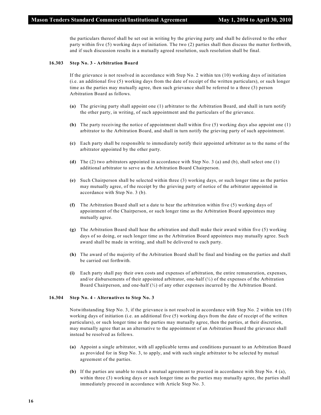the particulars thereof shall be set out in writing by the grieving party and shall be delivered to the other party within five (5) working days of initiation. The two (2) parties shall then discuss the matter forthwith, and if such discussion results in a mutually agreed resolution, such resolution shall be final.

#### **16.303 Step No. 3 - Arbitration Board**

If the grievance is not resolved in accordance with Step No. 2 within ten (10) working days of initiation (i.e. an additional five (5) working days from the date of receipt of the written particulars), or such longer time as the parties may mutually agree, then such grievance shall be referred to a three (3) person Arbitration Board as follows.

- **(a)** The grieving party shall appoint one (1) arbitrator to the Arbitration Board, and shall in turn notify the other party, in writing, of such appointment and the particulars of the grievance.
- **(b)** The party receiving the notice of appointment shall within five (5) working days also appoint one (1) arbitrator to the Arbitration Board, and shall in turn notify the grieving party of such appointment.
- **(c)** Each party shall be responsible to immediately notify their appointed arbitrator as to the name of the arbitrator appointed by the other party.
- **(d)** The (2) two arbitrators appointed in accordance with Step No. 3 (a) and (b), shall select one (1) additional arbitrator to serve as the Arbitration Board Chairperson.
- **(e)** Such Chairperson shall be selected within three (3) working days, or such longer time as the parties may mutually agree, of the receipt by the grieving party of notice of the arbitrator appointed in accordance with Step No. 3 (b).
- **(f)** The Arbitration Board shall set a date to hear the arbitration within five (5) working days of appointment of the Chairperson, or such longer time as the Arbitration Board appointees may mutually agree.
- **(g)** The Arbitration Board shall hear the arbitration and shall make their award within five (5) working days of so doing, or such longer time as the Arbitration Board appointees may mutually agree. Such award shall be made in writing, and shall be delivered to each party.
- **(h)** The award of the majority of the Arbitration Board shall be final and binding on the parties and shall be carried out forthwith.
- **(i)** Each party shall pay their own costs and expenses of arbitration, the entire remuneration, expenses, and/or disbursements of their appointed arbitrator, one-half  $\langle \frac{1}{2} \rangle$  of the expenses of the Arbitration Board Chairperson, and one-half (½) of any other expenses incurred by the Arbitration Board.

#### **16.304 Step No. 4 - Alternatives to Step No. 3**

Notwithstanding Step No. 3, if the grievance is not resolved in accordance with Step No. 2 within ten (10) working days of initiation (i.e. an additional five (5) working days from the date of receipt of the written particulars), or such longer time as the parties may mutually agree, then the parties, at their discretion, may mutually agree that as an alternative to the appointment of an Arbitration Board the grievance shall instead be resolved as follows.

- **(a)** Appoint a single arbitrator, with all applicable terms and conditions pursuant to an Arbitration Board as provided for in Step No. 3, to apply, and with such single arbitrator to be selected by mutual agreement of the parties.
- **(b)** If the parties are unable to reach a mutual agreement to proceed in accordance with Step No. 4 (a), within three (3) working days or such longer time as the parties may mutually agree, the parties shall immediately proceed in accordance with Article Step No. 3.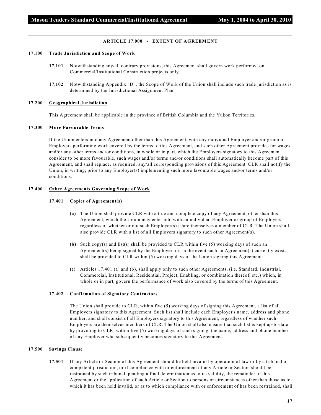#### **ARTICLE 17.000 - EXTENT OF AGREEMENT**

#### **17.100 Trade Jurisdiction and Scope of Work**

- **17.101** Notwithstanding any/all contrary provisions, this Agreement shall govern work performed on Commercial/Institutional Construction projects only.
- **17.102** Notwithstanding Appendix "D", the Scope of Work of the Union shall include such trade jurisdiction as is determined by the Jurisdictional Assignment Plan.

#### **17.200 Geographical Jurisdiction**

This Agreement shall be applicable in the province of British Columbia and the Yukon Territories.

#### **17.300 More Favourable Terms**

If the Union enters into any Agreement other than this Agreement, with any individual Employer and/or group of Employers performing work covered by the terms of this Agreement, and such other Agreement provides for wages and/or any other terms and/or conditions, in whole or in part, which the Employers signatory to this Agreement consider to be more favourable, such wages and/or terms and/or conditions shall automatically become part of this Agreement, and shall replace, as required, any/all corresponding provisions of this Agreement. CLR shall notify the Union, in writing, prior to any Employer(s) implementing such more favourable wages and/or terms and/or conditions.

#### **17.400 Other Agreements Governing Scope of Work**

#### **17.401 Copies of Agreement(s)**

- **(a)** The Union shall provide CLR with a true and complete copy of any Agreement, other than this Agreement, which the Union may enter into with an individual Employer or group of Employers, regardless of whether or not such Employer(s) is/are themselves a member of CLR. The Union shall also provide CLR with a list of all Employers signatory to such other Agreement(s).
- **(b)** Such copy(s) and list(s) shall be provided to CLR within five (5) working days of such an Agreement(s) being signed by the Employer, or, in the event such an Agreement(s) currently exists, shall be provided to CLR within (5) working days of the Union signing this Agreement.
- **(c)** Articles 17.401 (a) and (b), shall apply only to such other Agreements, (i.e. Standard, Industrial, Commercial, Institutional, Residential, Project, Enabling, or combination thereof, etc.) which, in whole or in part, govern the performance of work also covered by the terms of this Agreement.

#### **17.402 Confirmation of Signatory Contractors**

The Union shall provide to CLR, within five (5) working days of signing this Agreement, a list of all Employers signatory to this Agreement. Such list shall include each Employer's name, address and phone number, and shall consist of all Employers signatory to this Agreement, regardless of whether such Employers are themselves members of CLR. The Union shall also ensure that such list is kept up-to-date by providing to CLR, within five (5) working days of such signing, the name, address and phone number of any Employer who subsequently becomes signatory to this Agreement.

#### **17.500 Savings Clause**

**17.501** If any Article or Section of this Agreement should be held invalid by operation of law or by a tribunal of competent jurisdiction, or if compliance with or enforcement of any Article or Section should be restrained by such tribunal, pending a final determination as to its validity, the remainder of this Agreement or the application of such Article or Section to persons or circumstances other than those as to which it has been held invalid, or as to which compliance with or enforcement of has been restrained, shall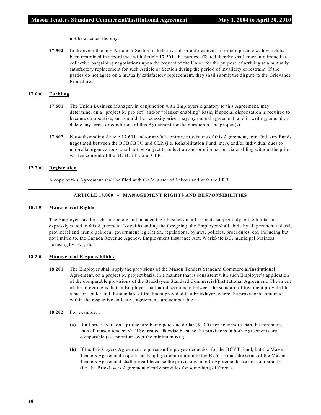not be affected thereby.

**17.502** In the event that any Article or Section is held invalid, or enforcement of, or compliance with which has been restrained in accordance with Article 17.501, the parties affected thereby shall enter into immediate collective bargaining negotiations upon the request of the Union for the purpose of arriving at a mutually satisfactory replacement for such Article or Section during the period of invalidity or restraint. If the parties do not agree on a mutually satisfactory replacement, they shall submit the dispute to the Grievance Procedure.

#### **17.600 Enabling**

- **17.601** The Union Business Manager, in conjunction with Employers signatory to this Agreement, may determine, on a "project by project" and/or "blanket enabling" basis, if special dispensation is required to become competitive, and should the necessity arise, may, by mutual agreement, and in writing, amend or delete any terms or conditions of this Agreement for the duration of the project(s).
- **17.602** Notwithstanding Article 17.601 and/or any/all contrary provisions of this Agreement, joint Industry Funds negotiated between the BCBCBTU and CLR (i.e. Rehabilitation Fund, etc.), and/or individual dues to umbrella organizations, shall not be subject to reduction and/or elimination via enabling without the prior written consent of the BCBCBTU and CLR.

#### **17.700 Registration**

A copy of this Agreement shall be filed with the Minister of Labour and with the LRB.

#### **ARTICLE 18.000 - MANAGEMENT RIGHTS AND RESPONSIBILITIES**

#### **18.100 Management Rights**

The Employer has the right to operate and manage their business in all respects subject only to the limitations expressly stated in this Agreement. Notwithstanding the foregoing, the Employer shall abide by all pertinent federal, provincial and municipal/local government legislation, regulations, bylaws, policies, procedures, etc, including but not limited to, the Canada Revenue Agency, Employment Insurance Act, WorkSafe BC, municipal business licensing bylaws, etc.

#### **18.200 Management Responsibilities**

- **18.201** The Employer shall apply the provisions of the Mason Tenders Standard Commercial/Institutional Agreement, on a project by project basis, in a manner that is consistent with such Employer's application of the comparable provisions of the Bricklayers Standard Commercial/Institutional Agreement. The intent of the foregoing is that an Employer shall not discriminate between the standard of treatment provided to a mason tender and the standard of treatment provided to a bricklayer, where the provisions contained within the respective collective agreements are comparable.
- **18.202** For example...
	- **(a)** If all bricklayers on a project are being paid one dollar (\$1.00) per hour more than the minimum, than all mason tenders shall be treated likewise because the provisions in both Agreements are comparable (i.e. premium over the minimum rate).
	- **(b)** If the Bricklayers Agreement requires an Employee deduction for the BCYT Fund, but the Mason Tenders Agreement requires an Employer contribution to the BCYT Fund, the terms of the Mason Tenders Agreement shall prevail because the provisions in both Agreements are not comparable (i.e. the Bricklayers Agreement clearly provides for something different).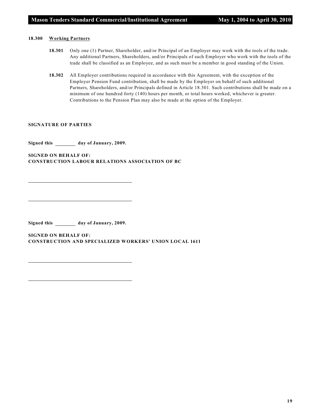#### **18.300 Working Partners**

- **18.301** Only one (1) Partner, Shareholder, and/or Principal of an Employer may work with the tools of the trade. Any additional Partners, Shareholders, and/or Principals of such Employer who work with the tools of the trade shall be classified as an Employee, and as such must be a member in good standing of the Union.
- **18.302** All Employer contributions required in accordance with this Agreement, with the exception of the Employer Pension Fund contribution, shall be made by the Employer on behalf of such additional Partners, Shareholders, and/or Principals defined in Article 18.301. Such contributions shall be made on a minimum of one hundred forty (140) hours per month, or total hours worked, whichever is greater. Contributions to the Pension Plan may also be made at the option of the Employer.

#### **SIGNATURE OF PARTIES**

Signed this \_\_\_\_\_\_\_ day of January, 2009.

**SIGNED ON BEHALF OF: CONSTRUCTION LABOUR RELATIONS ASSOCIATION OF BC**

Signed this \_\_\_\_\_\_\_\_ day of January, 2009.

**SIGNED ON BEHALF OF: CONSTRUCTION AND SPECIALIZED WORKERS' UNION LOCAL 1611**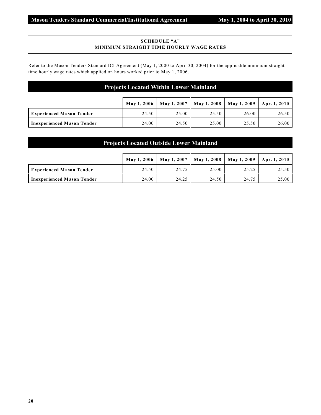#### **SCHEDULE "A" MINIMUM STRAIGHT TIME HOURLY WAGE RATES**

Refer to the Mason Tenders Standard ICI Agreement (May 1, 2000 to April 30, 2004) for the applicable minimum straight time hourly wage rates which applied on hours worked prior to May 1, 2006.

#### **Projects Located Within Lower Mainland**

|                                 |       | May 1, 2006   May 1, 2007   May 1, 2008   May 1, 2009   Apr. 1, 2010 |       |       |       |
|---------------------------------|-------|----------------------------------------------------------------------|-------|-------|-------|
| <b>Experienced Mason Tender</b> | 24.50 | 25.00                                                                | 25.50 | 26.00 | 26.50 |
| Inexperienced Mason Tender      | 24.00 | 24.50                                                                | 25.00 | 25.50 | 26.00 |

#### **Projects Located Outside Lower Mainland**

|                                   | May 1, 2006 May 1, 2007 |       |       | May 1, 2008   May 1, 2009   Apr. 1, 2010 |       |
|-----------------------------------|-------------------------|-------|-------|------------------------------------------|-------|
| <b>Experienced Mason Tender</b>   | 24.50                   | 24.75 | 25.00 | 25.25                                    | 25.50 |
| <b>Inexperienced Mason Tender</b> | 24.00                   | 24.25 | 24.50 | 24.75                                    | 25.00 |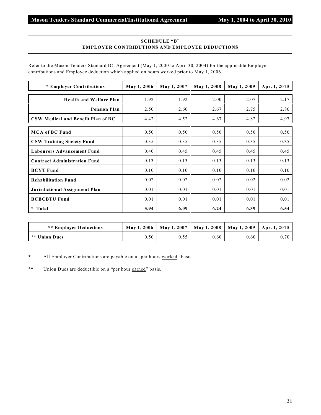#### **SCHEDULE "B" EMPLOYER CONTRIBUTIONS AND EMPLOYEE DEDUCTIONS**

Refer to the Mason Tenders Standard ICI Agreement (May 1, 2000 to April 30, 2004) for the applicable Employer contributions and Employee deduction which applied on hours worked prior to May 1, 2006.

| * Employer Contributions            | May 1, 2006 | May 1, 2007 | May 1, 2008 | May 1, 2009 | Apr. 1, 2010 |
|-------------------------------------|-------------|-------------|-------------|-------------|--------------|
| <b>Health and Welfare Plan</b>      | 1.92        | 1.92        | 2.00        | 2.07        | 2.17         |
| <b>Pension Plan</b>                 | 2.50        | 2.60        | 2.67        | 2.75        | 2.80         |
| CSW Medical and Benefit Plan of BC  | 4.42        | 4.52        | 4.67        | 4.82        | 4.97         |
| <b>MCA of BC Fund</b>               | 0.50        | 0.50        | 0.50        | 0.50        | 0.50         |
| <b>CSW Training Society Fund</b>    | 0.35        | 0.35        | 0.35        | 0.35        | 0.35         |
| <b>Labourers Advancement Fund</b>   | 0.40        | 0.45        | 0.45        | 0.45        | 0.45         |
| <b>Contract Administration Fund</b> | 0.13        | 0.13        | 0.13        | 0.13        | 0.13         |
| <b>BCYT Fund</b>                    | 0.10        | 0.10        | 0.10        | 0.10        | 0.10         |
| <b>Rehabilitation Fund</b>          | 0.02        | 0.02        | 0.02        | 0.02        | 0.02         |
| Jurisdictional Assignment Plan      | 0.01        | 0.01        | 0.01        | 0.01        | 0.01         |
| <b>BCBCBTU Fund</b>                 | 0.01        | 0.01        | 0.01        | 0.01        | 0.01         |
| * Total                             | 5.94        | 6.09        | 6.24        | 6.39        | 6.54         |

| <b>** Employee Deductions</b> |      |      | May 1, 2006   May 1, 2007   May 1, 2008   May 1, 2009   Apr. 1, 2010 |      |      |
|-------------------------------|------|------|----------------------------------------------------------------------|------|------|
| I ** Union Dues               | 0.50 | 0.55 | $0.60^{\circ}$                                                       | 0.60 | 0.70 |

\* All Employer Contributions are payable on a "per hours worked" basis.

\*\* Union Dues are deductible on a "per hour earned" basis.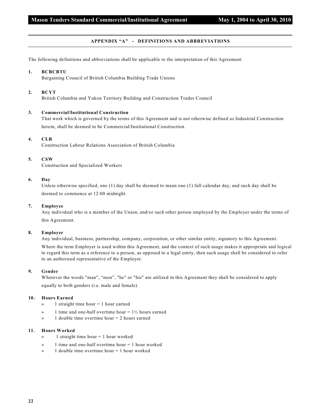#### **APPENDIX "A" - DEFINITIONS AND ABBREVIATIONS**

The following definitions and abbreviations shall be applicable to the interpretation of this Agreement.

#### **1. BCBCBTU**

Bargaining Council of British Columbia Building Trade Unions

#### **2. BCYT**

British Columbia and Yukon Territory Building and Construction Trades Council

#### **3. Commercial/Institutional Construction**

That work which is governed by the terms of this Agreement and is not otherwise defined as Industrial Construction herein, shall be deemed to be Commercial/Institutional Construction.

#### **4. CLR**

Construction Labour Relations Association of British Columbia

#### **5. CSW**

Construction and Specialized Workers

#### **6. Day**

Unless otherwise specified, one (1) day shall be deemed to mean one (1) full calendar day, and such day shall be deemed to commence at 12:00 midnight.

#### **7. Employee**

Any individual who is a member of the Union, and/or such other person employed by the Employer under the terms of this Agreement.

#### **8. Employer**

Any individual, business, partnership, company, corporation, or other similar entity, signatory to this Agreement.

Where the term Employer is used within this Agreement, and the context of such usage makes it appropriate and logical to regard this term as a reference to a person, as opposed to a legal entity, then such usage shall be considered to refer to an authorized representative of the Employer.

#### **9. Gender**

Wherever the words "man", "men", "he" or "his" are utilized in this Agreement they shall be considered to apply equally to both genders (i.e. male and female).

#### **10. Hours Earned**

- » 1 straight time hour = 1 hour earned
- $\mathcal{P}$  1 time and one-half overtime hour = 1½ hours earned
- » 1 double time overtime hour = 2 hours earned

#### **11. Hours Worked**

- $\infty$  1 straight time hour = 1 hour worked
- » 1 time and one-half overtime hour = 1 hour worked
- » 1 double time overtime hour = 1 hour worked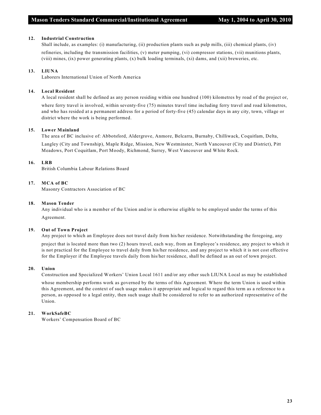#### **12. Industrial Construction**

Shall include, as examples: (i) manufacturing, (ii) production plants such as pulp mills, (iii) chemical plants, (iv) refineries, including the transmission facilities, (v) meter pumping, (vi) compressor stations, (vii) munitions plants, (viii) mines, (ix) power generating plants, (x) bulk loading terminals, (xi) dams, and (xii) breweries, etc.

#### **13. LIUNA**

Laborers International Union of North America

#### **14. Local Resident**

A local resident shall be defined as any person residing within one hundred (100) kilometres by road of the project or, where ferry travel is involved, within seventy-five (75) minutes travel time including ferry travel and road kilometres, and who has resided at a permanent address for a period of forty-five (45) calendar days in any city, town, village or district where the work is being performed.

#### **15. Lower Mainland**

The area of BC inclusive of: Abbotsford, Aldergrove, Anmore, Belcarra, Burnaby, Chilliwack, Coquitlam, Delta,

Langley (City and Township), Maple Ridge, Mission, New Westminster, North Vancouver (City and District), Pitt Meadows, Port Coquitlam, Port Moody, Richmond, Surrey, West Vancouver and White Rock.

#### **16. LRB**

British Columbia Labour Relations Board

#### **17. MCA of BC**

Masonry Contractors Association of BC

#### **18. Mason Tender**

Any individual who is a member of the Union and/or is otherwise eligible to be employed under the terms of this Agreement.

#### **19. Out of Town Project**

Any project to which an Employee does not travel daily from his/her residence. Notwithstanding the foregoing, any project that is located more than two (2) hours travel, each way, from an Employee's residence, any project to which it is not practical for the Employee to travel daily from his/her residence, and any project to which it is not cost effective for the Employer if the Employee travels daily from his/her residence, shall be defined as an out of town project.

#### **20. Union**

Construction and Specialized Workers' Union Local 1611 and/or any other such LIUNA Local as may be established

whose membership performs work as governed by the terms of this Agreement. Where the term Union is used within this Agreement, and the context of such usage makes it appropriate and logical to regard this term as a reference to a person, as opposed to a legal entity, then such usage shall be considered to refer to an authorized representative of the Union.

#### **21. WorkSafeBC**

Workers' Compensation Board of BC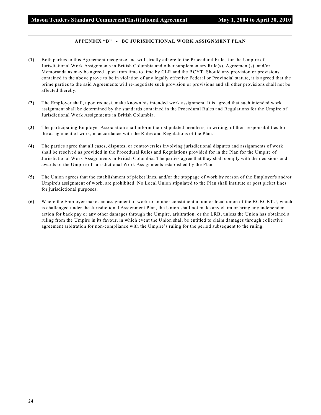#### **APPENDIX "B" - BC JURISDICTIONAL WORK ASSIGNMENT PLAN**

- **(1)** Both parties to this Agreement recognize and will strictly adhere to the Procedural Rules for the Umpire of Jurisdictional Work Assignments in British Columbia and other supplementary Rule(s), Agreement(s), and/or Memoranda as may be agreed upon from time to time by CLR and the BCYT. Should any provision or provisions contained in the above prove to be in violation of any legally effective Federal or Provincial statute, it is agreed that the prime parties to the said Agreements will re-negotiate such provision or provisions and all other provisions shall not be affected thereby.
- **(2)** The Employer shall, upon request, make known his intended work assignment. It is agreed that such intended work assignment shall be determined by the standards contained in the Procedural Rules and Regulations for the Umpire of Jurisdictional Work Assignments in British Columbia.
- **(3)** The participating Employer Association shall inform their stipulated members, in writing, of their responsibilities for the assignment of work, in accordance with the Rules and Regulations of the Plan.
- **(4)** The parties agree that all cases, disputes, or controversies involving jurisdictional disputes and assignments of work shall be resolved as provided in the Procedural Rules and Regulations provided for in the Plan for the Umpire of Jurisdictional Work Assignments in British Columbia. The parties agree that they shall comply with the decisions and awards of the Umpire of Jurisdictional Work Assignments established by the Plan.
- **(5)** The Union agrees that the establishment of picket lines, and/or the stoppage of work by reason of the Employer's and/or Umpire's assignment of work, are prohibited. No Local Union stipulated to the Plan shall institute or post picket lines for jurisdictional purposes.
- **(6)** Where the Employer makes an assignment of work to another constituent union or local union of the BCBCBTU, which is challenged under the Jurisdictional Assignment Plan, the Union shall not make any claim or bring any independent action for back pay or any other damages through the Umpire, arbitration, or the LRB, unless the Union has obtained a ruling from the Umpire in its favour, in which event the Union shall be entitled to claim damages through collective agreement arbitration for non-compliance with the Umpire's ruling for the period subsequent to the ruling.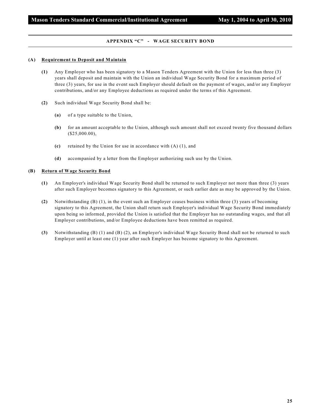#### **APPENDIX "C" - WAGE SECURITY BOND**

#### **(A) Requirement to Deposit and Maintain**

- **(1)** Any Employer who has been signatory to a Mason Tenders Agreement with the Union for less than three (3) years shall deposit and maintain with the Union an individual Wage Security Bond for a maximum period of three (3) years, for use in the event such Employer should default on the payment of wages, and/or any Employer contributions, and/or any Employee deductions as required under the terms of this Agreement.
- **(2)** Such individual Wage Security Bond shall be:
	- **(a)** of a type suitable to the Union,
	- **(b)** for an amount acceptable to the Union, although such amount shall not exceed twenty five thousand dollars (\$25,000.00),
	- **(c)** retained by the Union for use in accordance with (A) (1), and
	- **(d)** accompanied by a letter from the Employer authorizing such use by the Union.

#### **(B) Return of Wage Security Bond**

- **(1)** An Employer's individual Wage Security Bond shall be returned to such Employer not more than three (3) years after such Employer becomes signatory to this Agreement, or such earlier date as may be approved by the Union.
- **(2)** Notwithstanding (B) (1), in the event such an Employer ceases business within three (3) years of becoming signatory to this Agreement, the Union shall return such Employer's individual Wage Security Bond immediately upon being so informed, provided the Union is satisfied that the Employer has no outstanding wages, and that all Employer contributions, and/or Employee deductions have been remitted as required.
- **(3)** Notwithstanding (B) (1) and (B) (2), an Employer's individual Wage Security Bond shall not be returned to such Employer until at least one (1) year after such Employer has become signatory to this Agreement.